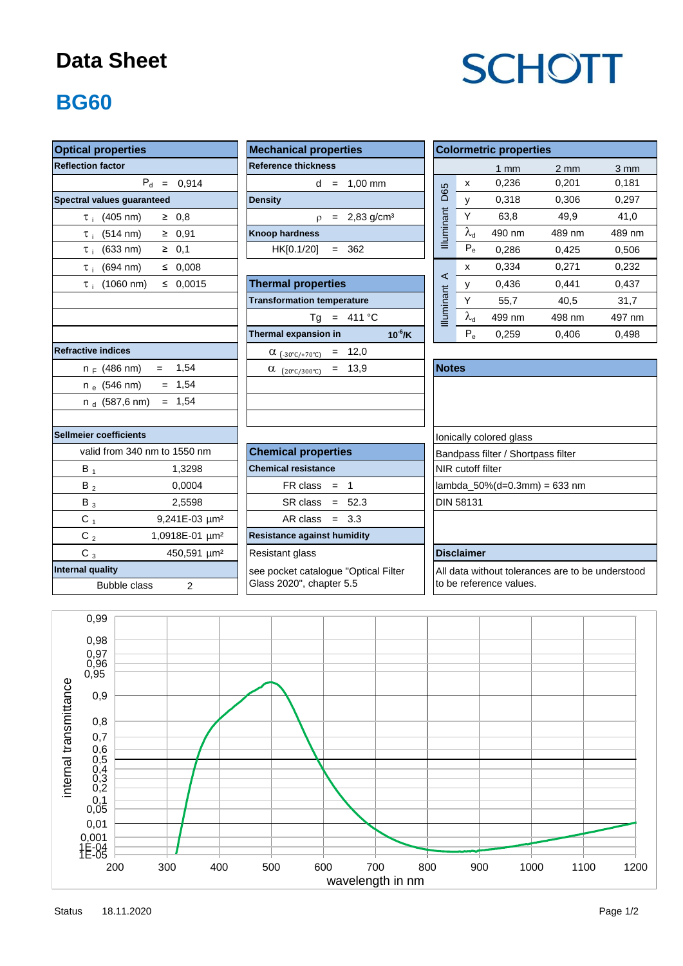### **Data Sheet**

# **SCHOTT**

### **BG60**

| <b>Optical properties</b>                   | <b>Mechanical properties</b>                                        | <b>Colormetric properties</b>                    |  |  |  |  |
|---------------------------------------------|---------------------------------------------------------------------|--------------------------------------------------|--|--|--|--|
| <b>Reflection factor</b>                    | <b>Reference thickness</b>                                          | $1 \text{ mm}$                                   |  |  |  |  |
| $P_d = 0.914$                               | $d = 1.00$ mm                                                       | 0,236<br>x                                       |  |  |  |  |
| Spectral values guaranteed                  | <b>Density</b>                                                      | D65<br>0,318<br>y                                |  |  |  |  |
| $\geq 0.8$<br>$\tau$ (405 nm)               | $p = 2,83$ g/cm <sup>3</sup>                                        | Illuminant<br>Y<br>63,8                          |  |  |  |  |
| $\geq 0.91$<br>$\tau_{\text{i}}$ (514 nm)   | <b>Knoop hardness</b>                                               | $\overline{\lambda}_d$<br>490 nm                 |  |  |  |  |
| $\geq 0,1$<br>$\tau$ (633 nm)               | HK[0.1/20]<br>$= 362$                                               | $P_e$<br>0,286                                   |  |  |  |  |
| $(694 \, \text{nm})$<br>≤ 0,008<br>$\tau$ i |                                                                     | 0,334<br>x                                       |  |  |  |  |
| $\leq 0.0015$<br>$\tau_i$ (1060 nm)         | <b>Thermal properties</b>                                           | $\prec$<br>0,436<br>У                            |  |  |  |  |
|                                             | <b>Transformation temperature</b>                                   | Y<br>55,7                                        |  |  |  |  |
|                                             | $Tg = 411 °C$                                                       | <b>Illuminant</b><br>$\lambda_{\rm d}$<br>499 nm |  |  |  |  |
|                                             | $10^{-6}$ /K<br>Thermal expansion in                                | $P_e$<br>0,259                                   |  |  |  |  |
| <b>Refractive indices</b>                   | $= 12,0$<br>$\alpha$ (-30°C/+70°C)                                  |                                                  |  |  |  |  |
| $= 1,54$<br>n <sub>F</sub> (486 nm)         | $= 13.9$<br>$\alpha$ (20°C/300°C)                                   | <b>Notes</b>                                     |  |  |  |  |
| $= 1,54$<br>$n_e$ (546 nm)                  |                                                                     |                                                  |  |  |  |  |
| $= 1,54$<br>n $_{\rm d}$ (587,6 nm)         |                                                                     |                                                  |  |  |  |  |
| <b>Sellmeier coefficients</b>               |                                                                     | Ionically colored glass                          |  |  |  |  |
| valid from 340 nm to 1550 nm                | <b>Chemical properties</b>                                          | Bandpass filter / Shortpass                      |  |  |  |  |
| $B_1$<br>1,3298                             | <b>Chemical resistance</b>                                          | NIR cutoff filter                                |  |  |  |  |
| 0,0004<br>$B_2$                             | $FR \, class = 1$                                                   | lambda_50%(d=0.3mm) =                            |  |  |  |  |
| 2,5598<br>$B_3$                             | $SR class = 52.3$                                                   | <b>DIN 58131</b>                                 |  |  |  |  |
| $C_1$<br>9,241E-03 µm <sup>2</sup>          | AR class $= 3.3$                                                    |                                                  |  |  |  |  |
| $C_2$<br>1,0918E-01 um <sup>2</sup>         | <b>Resistance against humidity</b>                                  |                                                  |  |  |  |  |
| $C_3$<br>450,591 µm <sup>2</sup>            | Resistant glass                                                     | <b>Disclaimer</b>                                |  |  |  |  |
| <b>Internal quality</b>                     | see pocket catalogue "Optical Filter<br>All data without tolerances |                                                  |  |  |  |  |
| <b>Bubble class</b><br>$\overline{2}$       | Glass 2020", chapter 5.5<br>to be reference values.                 |                                                  |  |  |  |  |

| <b>Mechanical properties</b> |  |  |                              |  |  |  |  |  |
|------------------------------|--|--|------------------------------|--|--|--|--|--|
| <b>Reference thickness</b>   |  |  |                              |  |  |  |  |  |
|                              |  |  | $d = 1.00 \text{ mm}$        |  |  |  |  |  |
| <b>Density</b>               |  |  |                              |  |  |  |  |  |
|                              |  |  | $p = 2,83$ g/cm <sup>3</sup> |  |  |  |  |  |
| <b>Knoop hardness</b>        |  |  |                              |  |  |  |  |  |
| $HK[0.1/20] = 362$           |  |  |                              |  |  |  |  |  |
|                              |  |  |                              |  |  |  |  |  |

| τ <sub>i</sub> (1060 nm)<br>$\leq 0.0015$ | <b>Thermal properties</b>                            | ∼                |
|-------------------------------------------|------------------------------------------------------|------------------|
|                                           | <b>Transformation temperature</b>                    |                  |
|                                           | $= 411 °C$<br>Tg                                     | <b>Iluminant</b> |
|                                           | $10^{-6}$ /K<br>Thermal expansion in                 |                  |
| tive indices                              | $= 12,0$<br>$\alpha$ (-30°C/+70°C)                   |                  |
| n <sub>F</sub> (486 nm) =<br>1,54         | $= 13.9$<br>$\alpha$<br>$(20^{\circ}C/300^{\circ}C)$ | <b>Notes</b>     |
| $= 1.54$<br>n <sub>e</sub> (546 nm)       |                                                      |                  |
| n <sub>d</sub> (587,6 nm) = 1,54          |                                                      |                  |
|                                           |                                                      |                  |

| <b>Optical properties</b>                      | <b>Mechanical properties</b>                |                      | <b>Colormetric properties</b> |                |                  |                  |  |  |
|------------------------------------------------|---------------------------------------------|----------------------|-------------------------------|----------------|------------------|------------------|--|--|
| <b>Reflection factor</b>                       | <b>Reference thickness</b>                  |                      |                               | $1 \text{ mm}$ | $2 \, \text{mm}$ | $3 \, \text{mm}$ |  |  |
| $P_{d}$<br>0.914<br>$\qquad \qquad =$          | $1.00$ mm<br>d<br>$=$                       |                      | x                             | 0,236          | 0,201            | 0,181            |  |  |
| Spectral values quaranteed                     | <b>Density</b>                              | D65                  |                               | 0.318          | 0.306            | 0,297            |  |  |
| (405 nm)<br>$\geq 0.8$<br>$\tau$ i             | $2,83$ g/cm <sup>3</sup><br>$\Omega$<br>$=$ | <b>Illuminant</b>    | Υ                             | 63,8           | 49,9             | 41,0             |  |  |
| $\geq 0.91$<br>$(514 \text{ nm})$<br>$\tau$ :  | <b>Knoop hardness</b>                       |                      | $y^q$                         | 490 nm         | 489 nm           | 489 nm           |  |  |
| $(633 \text{ nm})$<br>$\geq 0.1$<br>$\tau$ :   | HK[0.1/20]<br>362<br>$=$                    |                      | $P_e$                         | 0.286          | 0,425            | 0,506            |  |  |
| $(694 \text{ nm})$<br>0.008<br>≤<br>$\tau$ i   |                                             |                      | X                             | 0.334          | 0,271            | 0,232            |  |  |
| $(1060 \text{ nm})$<br>0.0015<br>≤<br>$\tau$ : | <b>Thermal properties</b>                   | $\blacktriangleleft$ |                               | 0.436          | 0.441            | 0,437            |  |  |
|                                                | <b>Transformation temperature</b>           |                      | v                             | 55,7           | 40,5             | 31,7             |  |  |
|                                                | 411 °C<br>Ta<br>$=$                         | <b>Illuminant</b>    | $\lambda_{\rm d}$             | 499 nm         | 498 nm           | 497 nm           |  |  |
|                                                | $10^{-6}$ /K<br>Thermal expansion in        |                      | $P_e$                         | 0.259          | 0.406            | 0.498            |  |  |

| $n_F$ (486 nm)          | 1,54<br>$=$                  | $= 13.9$<br>$\alpha$<br>$(20^{\circ}$ C/300 $^{\circ}$ C) | <b>Notes</b>                       |
|-------------------------|------------------------------|-----------------------------------------------------------|------------------------------------|
| $n_e$ (546 nm)          | $= 1.54$                     |                                                           |                                    |
| n $_{\rm d}$ (587,6 nm) | $= 1.54$                     |                                                           |                                    |
|                         |                              |                                                           |                                    |
| ier coefficients        |                              |                                                           | lonically colored glass            |
|                         | valid from 340 nm to 1550 nm | <b>Chemical properties</b>                                | Bandpass filter / Shortpass filter |
| $B_1$                   | 1,3298                       | <b>Chemical resistance</b>                                | <b>NIR</b> cutoff filter           |
| $B_2$                   | 0,0004                       | $FR \text{ class } = 1$                                   | lambda $50\%$ (d=0.3mm) = 633 nm   |
| $B_3$                   | 2,5598                       | $SR class = 52.3$                                         | <b>DIN 58131</b>                   |
| $C_{1}$                 | 9,241E-03 µm <sup>2</sup>    | $AR class = 3.3$                                          |                                    |
| $C_{2}$                 | 1,0918E-01 µm <sup>2</sup>   | <b>Resistance against humidity</b>                        |                                    |
| $C_3$                   | 450,591 µm <sup>2</sup>      | <b>Resistant glass</b>                                    | <b>Disclaimer</b>                  |

All data without tolerances are to be understood to be reference values.